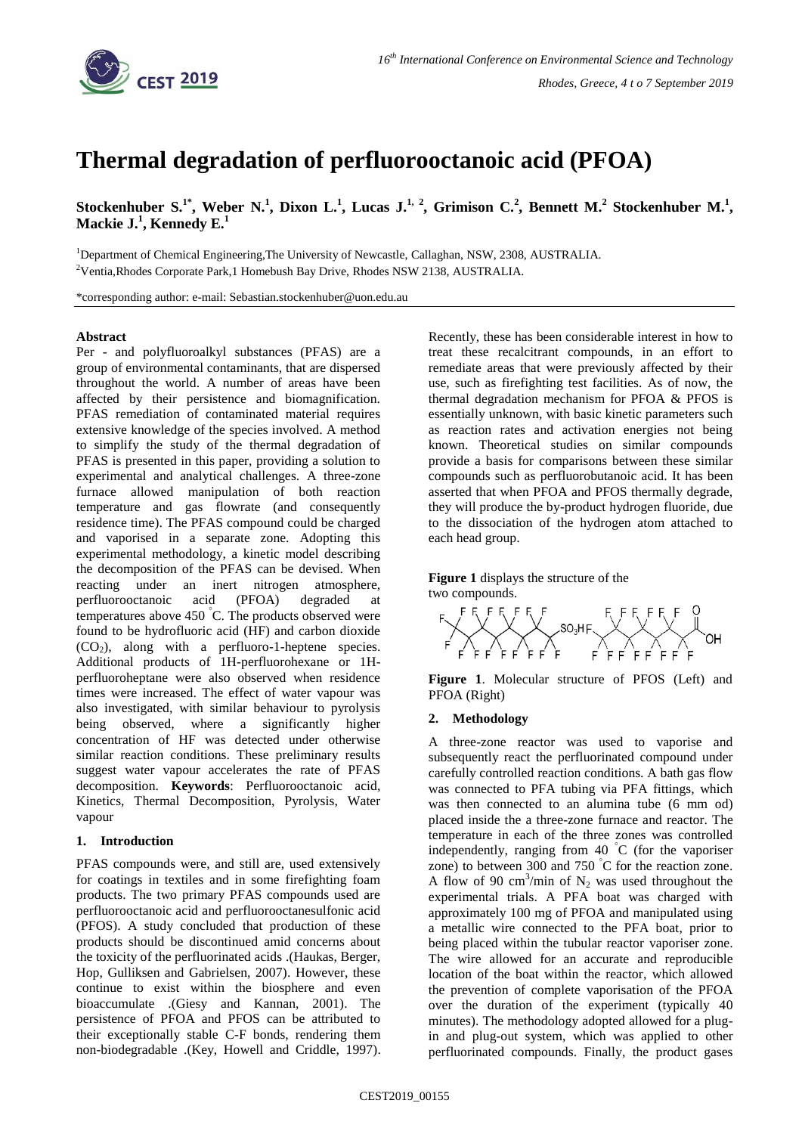

# **Thermal degradation of perfluorooctanoic acid (PFOA)**

Stockenhuber S.<sup>1\*</sup>, Weber N.<sup>1</sup>, Dixon L.<sup>1</sup>, Lucas J.<sup>1, 2</sup>, Grimison C.<sup>2</sup>, Bennett M.<sup>2</sup> Stockenhuber M.<sup>1</sup>, **Mackie J.<sup>1</sup> , Kennedy E.<sup>1</sup>**

<sup>1</sup>Department of Chemical Engineering, The University of Newcastle, Callaghan, NSW, 2308, AUSTRALIA. <sup>2</sup>Ventia, Rhodes Corporate Park, 1 Homebush Bay Drive, Rhodes NSW 2138, AUSTRALIA.

\*corresponding author: e-mail: Sebastian.stockenhuber@uon.edu.au

## **Abstract**

Per - and polyfluoroalkyl substances (PFAS) are a group of environmental contaminants, that are dispersed throughout the world. A number of areas have been affected by their persistence and biomagnification. PFAS remediation of contaminated material requires extensive knowledge of the species involved. A method to simplify the study of the thermal degradation of PFAS is presented in this paper, providing a solution to experimental and analytical challenges. A three-zone furnace allowed manipulation of both reaction temperature and gas flowrate (and consequently residence time). The PFAS compound could be charged and vaporised in a separate zone. Adopting this experimental methodology, a kinetic model describing the decomposition of the PFAS can be devised. When reacting under an inert nitrogen atmosphere, perfluorooctanoic acid (PFOA) degraded at temperatures above 450 °C. The products observed were found to be hydrofluoric acid (HF) and carbon dioxide  $(CO<sub>2</sub>)$ , along with a perfluoro-1-heptene species. Additional products of 1H-perfluorohexane or 1Hperfluoroheptane were also observed when residence times were increased. The effect of water vapour was also investigated, with similar behaviour to pyrolysis being observed, where a significantly higher concentration of HF was detected under otherwise similar reaction conditions. These preliminary results suggest water vapour accelerates the rate of PFAS decomposition. **Keywords**: Perfluorooctanoic acid, Kinetics, Thermal Decomposition, Pyrolysis, Water vapour

## **1. Introduction**

PFAS compounds were, and still are, used extensively for coatings in textiles and in some firefighting foam products. The two primary PFAS compounds used are perfluorooctanoic acid and perfluorooctanesulfonic acid (PFOS). A study concluded that production of these products should be discontinued amid concerns about the toxicity of the perfluorinated acids .(Haukas, Berger, Hop, Gulliksen and Gabrielsen, 2007). However, these continue to exist within the biosphere and even bioaccumulate .(Giesy and Kannan, 2001). The persistence of PFOA and PFOS can be attributed to their exceptionally stable C-F bonds, rendering them non-biodegradable .(Key, Howell and Criddle, 1997).

Recently, these has been considerable interest in how to treat these recalcitrant compounds, in an effort to remediate areas that were previously affected by their use, such as firefighting test facilities. As of now, the thermal degradation mechanism for PFOA & PFOS is essentially unknown, with basic kinetic parameters such as reaction rates and activation energies not being known. Theoretical studies on similar compounds provide a basis for comparisons between these similar compounds such as perfluorobutanoic acid. It has been asserted that when PFOA and PFOS thermally degrade, they will produce the by-product hydrogen fluoride, due to the dissociation of the hydrogen atom attached to each head group[.](#page-0-0) 

**[Figure 1](#page-0-0)** displays the structure of the two compounds.

<span id="page-0-0"></span>

**Figure 1**. Molecular structure of PFOS (Left) and PFOA (Right)

## **2. Methodology**

A three-zone reactor was used to vaporise and subsequently react the perfluorinated compound under carefully controlled reaction conditions. A bath gas flow was connected to PFA tubing via PFA fittings, which was then connected to an alumina tube (6 mm od) placed inside the a three-zone furnace and reactor. The temperature in each of the three zones was controlled independently, ranging from 40  $\degree$ C (for the vaporiser zone) to between 300 and 750  $\degree$ C for the reaction zone. A flow of 90 cm<sup>3</sup>/min of  $N_2$  was used throughout the experimental trials. A PFA boat was charged with approximately 100 mg of PFOA and manipulated using a metallic wire connected to the PFA boat, prior to being placed within the tubular reactor vaporiser zone. The wire allowed for an accurate and reproducible location of the boat within the reactor, which allowed the prevention of complete vaporisation of the PFOA over the duration of the experiment (typically 40 minutes). The methodology adopted allowed for a plugin and plug-out system, which was applied to other perfluorinated compounds. Finally, the product gases